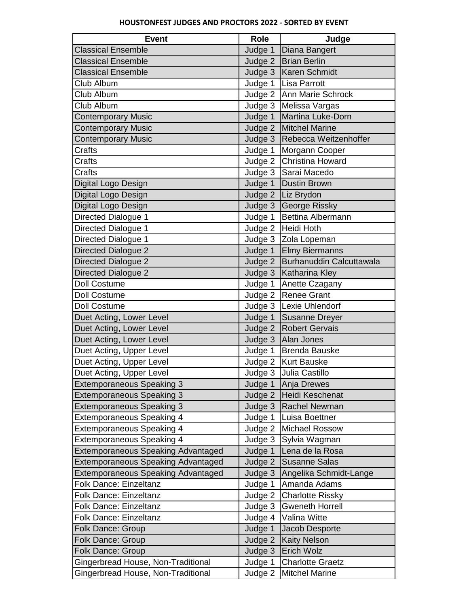| <b>Event</b>                              | <b>Role</b> | Judge                            |
|-------------------------------------------|-------------|----------------------------------|
| <b>Classical Ensemble</b>                 | Judge 1     | Diana Bangert                    |
| <b>Classical Ensemble</b>                 |             | Judge 2   Brian Berlin           |
| <b>Classical Ensemble</b>                 |             | Judge 3   Karen Schmidt          |
| Club Album                                | Judge 1     | Lisa Parrott                     |
| Club Album                                |             | Judge 2 Ann Marie Schrock        |
| Club Album                                |             | Judge 3   Melissa Vargas         |
| <b>Contemporary Music</b>                 | Judge 1     | Martina Luke-Dorn                |
| <b>Contemporary Music</b>                 |             | Judge 2   Mitchel Marine         |
| <b>Contemporary Music</b>                 |             | Judge 3   Rebecca Weitzenhoffer  |
| Crafts                                    | Judge 1     | Morgann Cooper                   |
| Crafts                                    |             | Judge 2 Christina Howard         |
| Crafts                                    |             | Judge 3 Sarai Macedo             |
| Digital Logo Design                       | Judge 1     | Dustin Brown                     |
| Digital Logo Design                       |             | Judge 2   Liz Brydon             |
| Digital Logo Design                       |             | Judge 3 George Rissky            |
| Directed Dialogue 1                       | Judge 1     | <b>Bettina Albermann</b>         |
| Directed Dialogue 1                       |             | Judge 2 Heidi Hoth               |
| Directed Dialogue 1                       |             | Judge 3 Zola Lopeman             |
| Directed Dialogue 2                       |             | Judge 1 Elmy Biermanns           |
| <b>Directed Dialogue 2</b>                |             | Judge 2 Burhanuddin Calcuttawala |
| Directed Dialogue 2                       |             | Judge 3   Katharina Kley         |
| <b>Doll Costume</b>                       | Judge 1     | Anette Czagany                   |
| <b>Doll Costume</b>                       |             | Judge 2 Renee Grant              |
| <b>Doll Costume</b>                       |             | Judge 3   Lexie Uhlendorf        |
| Duet Acting, Lower Level                  |             | Judge 1 Susanne Dreyer           |
| Duet Acting, Lower Level                  |             | Judge 2   Robert Gervais         |
| Duet Acting, Lower Level                  |             | Judge 3   Alan Jones             |
| Duet Acting, Upper Level                  | Judge 1     | Brenda Bauske                    |
| Duet Acting, Upper Level                  |             | Judge 2   Kurt Bauske            |
| Duet Acting, Upper Level                  |             | Judge 3 Julia Castillo           |
| <b>Extemporaneous Speaking 3</b>          | Judge 1     | Anja Drewes                      |
| <b>Extemporaneous Speaking 3</b>          | Judge 2     | Heidi Keschenat                  |
| <b>Extemporaneous Speaking 3</b>          | Judge 3     | Rachel Newman                    |
| <b>Extemporaneous Speaking 4</b>          | Judge 1     | Luisa Boettner                   |
| <b>Extemporaneous Speaking 4</b>          | Judge 2     | <b>Michael Rossow</b>            |
| <b>Extemporaneous Speaking 4</b>          | Judge 3     | Sylvia Wagman                    |
| <b>Extemporaneous Speaking Advantaged</b> | Judge 1     | Lena de la Rosa                  |
| <b>Extemporaneous Speaking Advantaged</b> | Judge 2     | <b>Susanne Salas</b>             |
| <b>Extemporaneous Speaking Advantaged</b> | Judge 3     | Angelika Schmidt-Lange           |
| <b>Folk Dance: Einzeltanz</b>             | Judge 1     | Amanda Adams                     |
| <b>Folk Dance: Einzeltanz</b>             | Judge 2     | <b>Charlotte Rissky</b>          |
| Folk Dance: Einzeltanz                    | Judge 3     | <b>Gweneth Horrell</b>           |
| <b>Folk Dance: Einzeltanz</b>             | Judge 4     | Valina Witte                     |
| Folk Dance: Group                         | Judge 1     | Jacob Desporte                   |
| Folk Dance: Group                         | Judge 2     | <b>Kaity Nelson</b>              |
| Folk Dance: Group                         | Judge 3     | Erich Wolz                       |
| Gingerbread House, Non-Traditional        | Judge 1     | <b>Charlotte Graetz</b>          |
| Gingerbread House, Non-Traditional        | Judge 2     | <b>Mitchel Marine</b>            |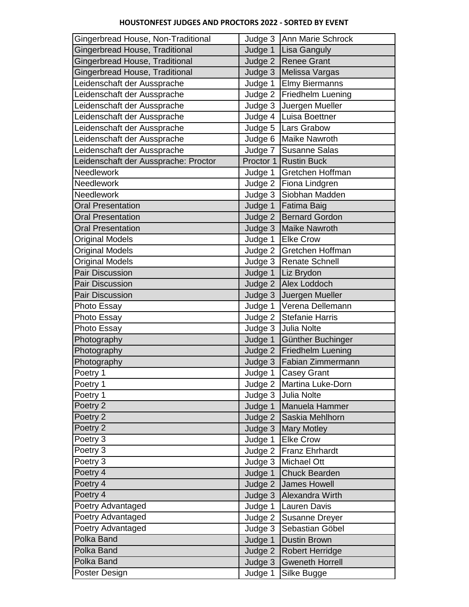## **HOUSTONFEST JUDGES AND PROCTORS 2022 - SORTED BY EVENT**

| Gingerbread House, Non-Traditional   |         | Judge 3 Ann Marie Schrock   |
|--------------------------------------|---------|-----------------------------|
| Gingerbread House, Traditional       | Judge 1 | Lisa Ganguly                |
| Gingerbread House, Traditional       |         | Judge 2 Renee Grant         |
| Gingerbread House, Traditional       |         | Judge 3   Melissa Vargas    |
| Leidenschaft der Aussprache          | Judge 1 | <b>Elmy Biermanns</b>       |
| Leidenschaft der Aussprache          | Judge 2 | <b>Friedhelm Luening</b>    |
| Leidenschaft der Aussprache          |         | Judge 3 Juergen Mueller     |
| Leidenschaft der Aussprache          |         | Judge 4   Luisa Boettner    |
| Leidenschaft der Aussprache          |         | Judge 5   Lars Grabow       |
| Leidenschaft der Aussprache          |         | Judge 6   Maike Nawroth     |
| Leidenschaft der Aussprache          |         | Judge 7 Susanne Salas       |
| Leidenschaft der Aussprache: Proctor |         | Proctor 1 Rustin Buck       |
| <b>Needlework</b>                    | Judge 1 | Gretchen Hoffman            |
| <b>Needlework</b>                    |         | Judge 2   Fiona Lindgren    |
| <b>Needlework</b>                    |         | Judge 3 Siobhan Madden      |
| <b>Oral Presentation</b>             | Judge 1 | <b>Fatima Baig</b>          |
| <b>Oral Presentation</b>             |         | Judge 2   Bernard Gordon    |
| <b>Oral Presentation</b>             |         | Judge 3 Maike Nawroth       |
| <b>Original Models</b>               | Judge 1 | <b>Elke Crow</b>            |
| Original Models                      |         | Judge 2 Gretchen Hoffman    |
| <b>Original Models</b>               |         | Judge 3   Renate Schnell    |
| <b>Pair Discussion</b>               | Judge 1 | Liz Brydon                  |
| <b>Pair Discussion</b>               | Judge 2 | Alex Loddoch                |
| Pair Discussion                      | Judge 3 | Juergen Mueller             |
| Photo Essay                          | Judge 1 | Verena Dellemann            |
| Photo Essay                          |         | Judge 2 Stefanie Harris     |
| Photo Essay                          | Judge 3 | Julia Nolte                 |
| Photography                          | Judge 1 | Günther Buchinger           |
| Photography                          |         | Judge 2   Friedhelm Luening |
| Photography                          | Judge 3 | <b>Fabian Zimmermann</b>    |
| Poetry 1                             |         | Judge 1 Casey Grant         |
| Poetry 1                             |         | Judge 2   Martina Luke-Dorn |
| Poetry 1                             | Judge 3 | Julia Nolte                 |
| Poetry 2                             | Judge 1 | Manuela Hammer              |
| Poetry 2                             | Judge 2 | Saskia Mehlhorn             |
| Poetry 2                             | Judge 3 | <b>Mary Motley</b>          |
| Poetry 3                             | Judge 1 | <b>Elke Crow</b>            |
| Poetry 3                             | Judge 2 | <b>Franz Ehrhardt</b>       |
| Poetry 3                             | Judge 3 | Michael Ott                 |
| Poetry 4                             | Judge 1 | <b>Chuck Bearden</b>        |
| Poetry 4                             | Judge 2 | James Howell                |
| Poetry 4                             | Judge 3 | Alexandra Wirth             |
| Poetry Advantaged                    | Judge 1 | Lauren Davis                |
| Poetry Advantaged                    | Judge 2 | Susanne Dreyer              |
| Poetry Advantaged                    | Judge 3 | Sebastian Göbel             |
| <b>Polka Band</b>                    | Judge 1 | <b>Dustin Brown</b>         |
| Polka Band                           | Judge 2 | <b>Robert Herridge</b>      |
| Polka Band                           | Judge 3 | Gweneth Horrell             |
| Poster Design                        | Judge 1 | Silke Bugge                 |
|                                      |         |                             |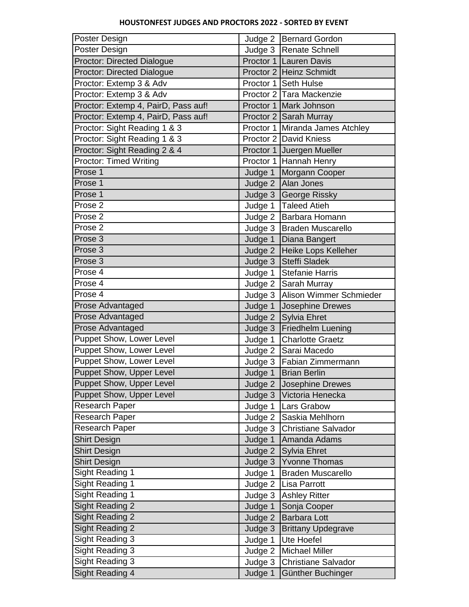## **HOUSTONFEST JUDGES AND PROCTORS 2022 - SORTED BY EVENT**

| Poster Design                       |         | Judge 2   Bernard Gordon          |
|-------------------------------------|---------|-----------------------------------|
| Poster Design                       |         | Judge 3   Renate Schnell          |
| Proctor: Directed Dialogue          |         | Proctor 1 Lauren Davis            |
| <b>Proctor: Directed Dialogue</b>   |         | Proctor 2 Heinz Schmidt           |
| Proctor: Extemp 3 & Adv             |         | Proctor 1 Seth Hulse              |
| Proctor: Extemp 3 & Adv             |         | Proctor 2 Tara Mackenzie          |
| Proctor: Extemp 4, PairD, Pass auf! |         | Proctor 1 Mark Johnson            |
| Proctor: Extemp 4, PairD, Pass auf! |         | Proctor 2 Sarah Murray            |
| Proctor: Sight Reading 1 & 3        |         | Proctor 1 Miranda James Atchley   |
| Proctor: Sight Reading 1 & 3        |         | Proctor 2 David Kniess            |
| Proctor: Sight Reading 2 & 4        |         | Proctor 1 Juergen Mueller         |
| <b>Proctor: Timed Writing</b>       |         | Proctor 1 Hannah Henry            |
| Prose 1                             | Judge 1 | Morgann Cooper                    |
| Prose 1                             |         | Judge 2 Alan Jones                |
| Prose 1                             |         | Judge 3 George Rissky             |
| Prose 2                             |         | Judge 1   Taleed Atieh            |
| Prose 2                             |         | Judge 2   Barbara Homann          |
| Prose 2                             |         | Judge 3   Braden Muscarello       |
| Prose 3                             | Judge 1 | Diana Bangert                     |
| Prose 3                             | Judge 2 | Heike Lops Kelleher               |
| Prose 3                             |         | Judge 3 Steffi Sladek             |
| Prose 4                             | Judge 1 | <b>Stefanie Harris</b>            |
| Prose 4                             | Judge 2 | Sarah Murray                      |
| Prose 4                             |         | Judge 3   Alison Wimmer Schmieder |
| Prose Advantaged                    | Judge 1 | Josephine Drewes                  |
| <b>Prose Advantaged</b>             |         | Judge 2 Sylvia Ehret              |
| Prose Advantaged                    | Judge 3 | <b>Friedhelm Luening</b>          |
| <b>Puppet Show, Lower Level</b>     | Judge 1 | <b>Charlotte Graetz</b>           |
| <b>Puppet Show, Lower Level</b>     |         | Judge 2 Sarai Macedo              |
| <b>Puppet Show, Lower Level</b>     |         | Judge 3   Fabian Zimmermann       |
| <b>Puppet Show, Upper Level</b>     |         | Judge 1 Brian Berlin              |
| Puppet Show, Upper Level            | Judge 2 | Josephine Drewes                  |
| Puppet Show, Upper Level            | Judge 3 | Victoria Henecka                  |
| <b>Research Paper</b>               | Judge 1 | Lars Grabow                       |
| <b>Research Paper</b>               | Judge 2 | Saskia Mehlhorn                   |
| Research Paper                      | Judge 3 | Christiane Salvador               |
| <b>Shirt Design</b>                 | Judge 1 | Amanda Adams                      |
| <b>Shirt Design</b>                 | Judge 2 | Sylvia Ehret                      |
| <b>Shirt Design</b>                 | Judge 3 | <b>Yvonne Thomas</b>              |
| Sight Reading 1                     | Judge 1 | <b>Braden Muscarello</b>          |
| Sight Reading 1                     | Judge 2 | Lisa Parrott                      |
| Sight Reading 1                     | Judge 3 | <b>Ashley Ritter</b>              |
| <b>Sight Reading 2</b>              | Judge 1 | Sonja Cooper                      |
| <b>Sight Reading 2</b>              | Judge 2 | <b>Barbara Lott</b>               |
| Sight Reading 2                     | Judge 3 | <b>Brittany Updegrave</b>         |
| Sight Reading 3                     | Judge 1 | Ute Hoefel                        |
| Sight Reading 3                     | Judge 2 | <b>Michael Miller</b>             |
| <b>Sight Reading 3</b>              | Judge 3 | Christiane Salvador               |
| Sight Reading 4                     | Judge 1 | Günther Buchinger                 |